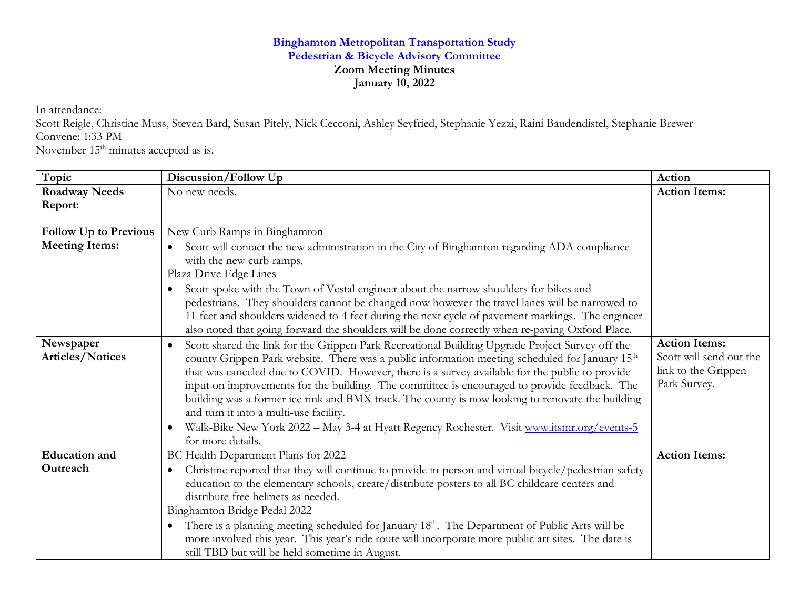## **Binghamton Metropolitan Transportation Study Pedestrian & Bicycle Advisory Committee Zoom Meeting Minutes January 10, 2022**

In attendance:

Scott Reigle, Christine Muss, Steven Bard, Susan Pitely, Nick Cecconi, Ashley Seyfried, Stephanie Yezzi, Raini Baudendistel, Stephanie Brewer Convene: 1:33 PM

November 15<sup>th</sup> minutes accepted as is.

| Topic                                | Discussion/Follow Up                                                                                                                                                                                                                                                                                                                                                                                                                                                                                                                                                                                                                                                                                       | Action                                                                                 |
|--------------------------------------|------------------------------------------------------------------------------------------------------------------------------------------------------------------------------------------------------------------------------------------------------------------------------------------------------------------------------------------------------------------------------------------------------------------------------------------------------------------------------------------------------------------------------------------------------------------------------------------------------------------------------------------------------------------------------------------------------------|----------------------------------------------------------------------------------------|
| <b>Roadway Needs</b>                 | No new needs.                                                                                                                                                                                                                                                                                                                                                                                                                                                                                                                                                                                                                                                                                              | <b>Action Items:</b>                                                                   |
| Report:                              |                                                                                                                                                                                                                                                                                                                                                                                                                                                                                                                                                                                                                                                                                                            |                                                                                        |
| <b>Follow Up to Previous</b>         | New Curb Ramps in Binghamton                                                                                                                                                                                                                                                                                                                                                                                                                                                                                                                                                                                                                                                                               |                                                                                        |
| <b>Meeting Items:</b>                | Scott will contact the new administration in the City of Binghamton regarding ADA compliance<br>with the new curb ramps.<br>Plaza Drive Edge Lines<br>Scott spoke with the Town of Vestal engineer about the narrow shoulders for bikes and                                                                                                                                                                                                                                                                                                                                                                                                                                                                |                                                                                        |
|                                      | pedestrians. They shoulders cannot be changed now however the travel lanes will be narrowed to<br>11 feet and shoulders widened to 4 feet during the next cycle of pavement markings. The engineer<br>also noted that going forward the shoulders will be done correctly when re-paving Oxford Place.                                                                                                                                                                                                                                                                                                                                                                                                      |                                                                                        |
| Newspaper<br><b>Articles/Notices</b> | Scott shared the link for the Grippen Park Recreational Building Upgrade Project Survey off the<br>$\bullet$<br>county Grippen Park website. There was a public information meeting scheduled for January 15 <sup>th</sup><br>that was canceled due to COVID. However, there is a survey available for the public to provide<br>input on improvements for the building. The committee is encouraged to provide feedback. The<br>building was a former ice rink and BMX track. The county is now looking to renovate the building<br>and turn it into a multi-use facility.<br>Walk-Bike New York 2022 - May 3-4 at Hyatt Regency Rochester. Visit www.itsmr.org/events-5<br>$\bullet$<br>for more details. | <b>Action Items:</b><br>Scott will send out the<br>link to the Grippen<br>Park Survey. |
| <b>Education</b> and<br>Outreach     | BC Health Department Plans for 2022<br>Christine reported that they will continue to provide in-person and virtual bicycle/pedestrian safety<br>$\bullet$<br>education to the elementary schools, create/distribute posters to all BC childcare centers and<br>distribute free helmets as needed.<br>Binghamton Bridge Pedal 2022<br>There is a planning meeting scheduled for January 18 <sup>th</sup> . The Department of Public Arts will be<br>$\bullet$                                                                                                                                                                                                                                               | <b>Action Items:</b>                                                                   |
|                                      | more involved this year. This year's ride route will incorporate more public art sites. The date is<br>still TBD but will be held sometime in August.                                                                                                                                                                                                                                                                                                                                                                                                                                                                                                                                                      |                                                                                        |